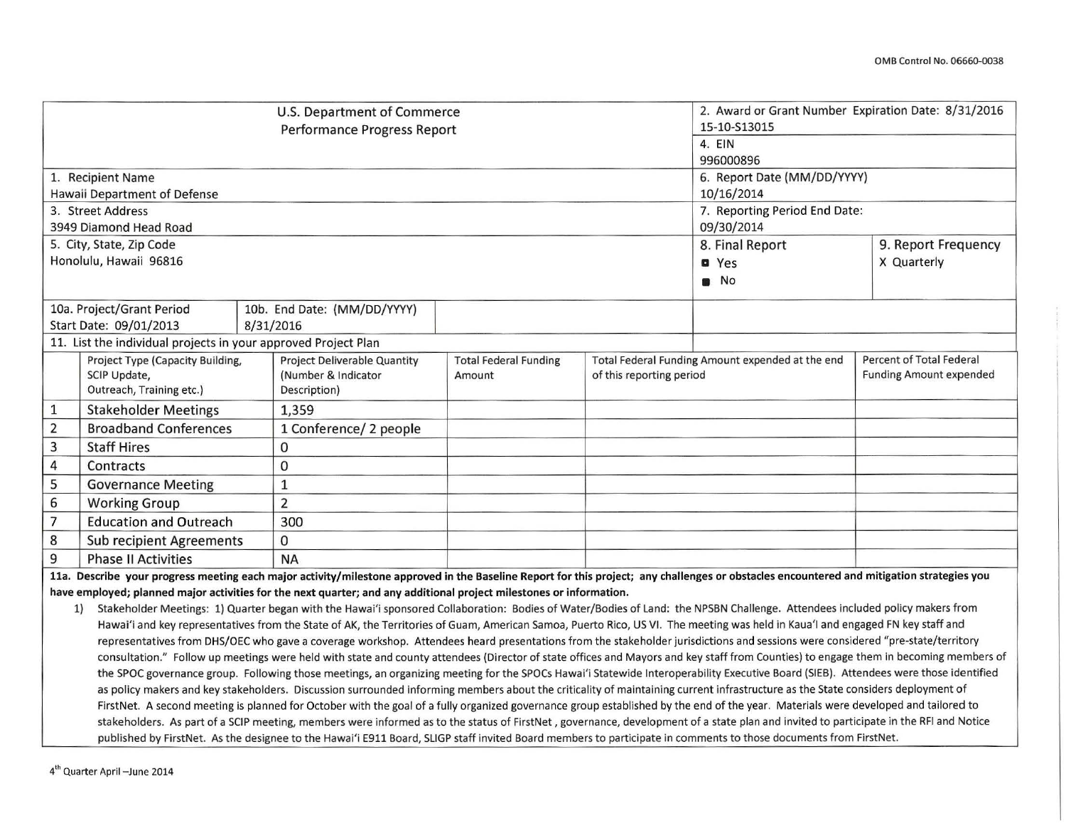|                                                                                                                                                                                                                                                                                                                                                                     |                                                                                                                                                                  |                                                                                                                                                                                                                                                                                                                                                                       | U.S. Department of Commerce<br>Performance Progress Report                                                                                                                                |                              |                          | 2. Award or Grant Number Expiration Date: 8/31/2016<br>15-10-S13015<br>4. EIN |                                 |  |  |
|---------------------------------------------------------------------------------------------------------------------------------------------------------------------------------------------------------------------------------------------------------------------------------------------------------------------------------------------------------------------|------------------------------------------------------------------------------------------------------------------------------------------------------------------|-----------------------------------------------------------------------------------------------------------------------------------------------------------------------------------------------------------------------------------------------------------------------------------------------------------------------------------------------------------------------|-------------------------------------------------------------------------------------------------------------------------------------------------------------------------------------------|------------------------------|--------------------------|-------------------------------------------------------------------------------|---------------------------------|--|--|
|                                                                                                                                                                                                                                                                                                                                                                     |                                                                                                                                                                  |                                                                                                                                                                                                                                                                                                                                                                       |                                                                                                                                                                                           |                              |                          | 996000896                                                                     |                                 |  |  |
|                                                                                                                                                                                                                                                                                                                                                                     | 1. Recipient Name                                                                                                                                                |                                                                                                                                                                                                                                                                                                                                                                       |                                                                                                                                                                                           |                              |                          | 6. Report Date (MM/DD/YYYY)                                                   |                                 |  |  |
|                                                                                                                                                                                                                                                                                                                                                                     | Hawaii Department of Defense                                                                                                                                     |                                                                                                                                                                                                                                                                                                                                                                       |                                                                                                                                                                                           |                              |                          | 10/16/2014                                                                    |                                 |  |  |
|                                                                                                                                                                                                                                                                                                                                                                     | 3. Street Address                                                                                                                                                |                                                                                                                                                                                                                                                                                                                                                                       |                                                                                                                                                                                           |                              |                          | 7. Reporting Period End Date:                                                 |                                 |  |  |
|                                                                                                                                                                                                                                                                                                                                                                     | 3949 Diamond Head Road                                                                                                                                           |                                                                                                                                                                                                                                                                                                                                                                       |                                                                                                                                                                                           |                              |                          | 09/30/2014                                                                    |                                 |  |  |
|                                                                                                                                                                                                                                                                                                                                                                     | 5. City, State, Zip Code                                                                                                                                         |                                                                                                                                                                                                                                                                                                                                                                       |                                                                                                                                                                                           |                              |                          | 8. Final Report                                                               | 9. Report Frequency             |  |  |
|                                                                                                                                                                                                                                                                                                                                                                     | Honolulu, Hawaii 96816                                                                                                                                           |                                                                                                                                                                                                                                                                                                                                                                       |                                                                                                                                                                                           |                              |                          | <b>O</b> Yes                                                                  | X Quarterly                     |  |  |
|                                                                                                                                                                                                                                                                                                                                                                     |                                                                                                                                                                  |                                                                                                                                                                                                                                                                                                                                                                       |                                                                                                                                                                                           |                              |                          | $\blacksquare$ No                                                             |                                 |  |  |
|                                                                                                                                                                                                                                                                                                                                                                     | 10a. Project/Grant Period                                                                                                                                        |                                                                                                                                                                                                                                                                                                                                                                       | 10b. End Date: (MM/DD/YYYY)                                                                                                                                                               |                              |                          |                                                                               |                                 |  |  |
|                                                                                                                                                                                                                                                                                                                                                                     | Start Date: 09/01/2013                                                                                                                                           | 8/31/2016                                                                                                                                                                                                                                                                                                                                                             |                                                                                                                                                                                           |                              |                          |                                                                               |                                 |  |  |
|                                                                                                                                                                                                                                                                                                                                                                     | 11. List the individual projects in your approved Project Plan                                                                                                   |                                                                                                                                                                                                                                                                                                                                                                       |                                                                                                                                                                                           |                              |                          |                                                                               |                                 |  |  |
|                                                                                                                                                                                                                                                                                                                                                                     | Project Type (Capacity Building,                                                                                                                                 |                                                                                                                                                                                                                                                                                                                                                                       | Project Deliverable Quantity                                                                                                                                                              | <b>Total Federal Funding</b> |                          | Total Federal Funding Amount expended at the end                              | <b>Percent of Total Federal</b> |  |  |
|                                                                                                                                                                                                                                                                                                                                                                     | SCIP Update,<br>Outreach, Training etc.)                                                                                                                         |                                                                                                                                                                                                                                                                                                                                                                       | (Number & Indicator<br>Description)                                                                                                                                                       | Amount                       | of this reporting period |                                                                               | <b>Funding Amount expended</b>  |  |  |
|                                                                                                                                                                                                                                                                                                                                                                     |                                                                                                                                                                  |                                                                                                                                                                                                                                                                                                                                                                       |                                                                                                                                                                                           |                              |                          |                                                                               |                                 |  |  |
| $\mathbf{1}$                                                                                                                                                                                                                                                                                                                                                        | <b>Stakeholder Meetings</b>                                                                                                                                      |                                                                                                                                                                                                                                                                                                                                                                       | 1,359                                                                                                                                                                                     |                              |                          |                                                                               |                                 |  |  |
| $\overline{2}$                                                                                                                                                                                                                                                                                                                                                      | <b>Broadband Conferences</b>                                                                                                                                     |                                                                                                                                                                                                                                                                                                                                                                       | 1 Conference/ 2 people                                                                                                                                                                    |                              |                          |                                                                               |                                 |  |  |
| 3                                                                                                                                                                                                                                                                                                                                                                   | <b>Staff Hires</b>                                                                                                                                               |                                                                                                                                                                                                                                                                                                                                                                       | 0                                                                                                                                                                                         |                              |                          |                                                                               |                                 |  |  |
| 4                                                                                                                                                                                                                                                                                                                                                                   | Contracts                                                                                                                                                        |                                                                                                                                                                                                                                                                                                                                                                       | 0                                                                                                                                                                                         |                              |                          |                                                                               |                                 |  |  |
| 5                                                                                                                                                                                                                                                                                                                                                                   | <b>Governance Meeting</b>                                                                                                                                        |                                                                                                                                                                                                                                                                                                                                                                       | $\mathbf{1}$                                                                                                                                                                              |                              |                          |                                                                               |                                 |  |  |
| 6                                                                                                                                                                                                                                                                                                                                                                   | <b>Working Group</b>                                                                                                                                             |                                                                                                                                                                                                                                                                                                                                                                       | $\overline{2}$                                                                                                                                                                            |                              |                          |                                                                               |                                 |  |  |
| 7                                                                                                                                                                                                                                                                                                                                                                   | <b>Education and Outreach</b>                                                                                                                                    |                                                                                                                                                                                                                                                                                                                                                                       | 300                                                                                                                                                                                       |                              |                          |                                                                               |                                 |  |  |
| 8                                                                                                                                                                                                                                                                                                                                                                   | <b>Sub recipient Agreements</b>                                                                                                                                  |                                                                                                                                                                                                                                                                                                                                                                       | 0                                                                                                                                                                                         |                              |                          |                                                                               |                                 |  |  |
| 9                                                                                                                                                                                                                                                                                                                                                                   | <b>Phase II Activities</b>                                                                                                                                       |                                                                                                                                                                                                                                                                                                                                                                       | <b>NA</b>                                                                                                                                                                                 |                              |                          |                                                                               |                                 |  |  |
|                                                                                                                                                                                                                                                                                                                                                                     |                                                                                                                                                                  |                                                                                                                                                                                                                                                                                                                                                                       | 11a. Describe your progress meeting each major activity/milestone approved in the Baseline Report for this project; any challenges or obstacles encountered and mitigation strategies you |                              |                          |                                                                               |                                 |  |  |
|                                                                                                                                                                                                                                                                                                                                                                     |                                                                                                                                                                  |                                                                                                                                                                                                                                                                                                                                                                       | have employed; planned major activities for the next quarter; and any additional project milestones or information.                                                                       |                              |                          |                                                                               |                                 |  |  |
| Stakeholder Meetings: 1) Quarter began with the Hawai'i sponsored Collaboration: Bodies of Water/Bodies of Land: the NPSBN Challenge. Attendees included policy makers from<br>1)<br>Hawai'i and key representatives from the State of AK, the Territories of Guam, American Samoa, Puerto Rico, US VI. The meeting was held in Kaua'l and engaged FN key staff and |                                                                                                                                                                  |                                                                                                                                                                                                                                                                                                                                                                       |                                                                                                                                                                                           |                              |                          |                                                                               |                                 |  |  |
|                                                                                                                                                                                                                                                                                                                                                                     |                                                                                                                                                                  |                                                                                                                                                                                                                                                                                                                                                                       |                                                                                                                                                                                           |                              |                          |                                                                               |                                 |  |  |
|                                                                                                                                                                                                                                                                                                                                                                     |                                                                                                                                                                  | representatives from DHS/OEC who gave a coverage workshop. Attendees heard presentations from the stakeholder jurisdictions and sessions were considered "pre-state/territory<br>consultation." Follow up meetings were held with state and county attendees (Director of state offices and Mayors and key staff from Counties) to engage them in becoming members of |                                                                                                                                                                                           |                              |                          |                                                                               |                                 |  |  |
|                                                                                                                                                                                                                                                                                                                                                                     |                                                                                                                                                                  |                                                                                                                                                                                                                                                                                                                                                                       | the SPOC governance group. Following those meetings, an organizing meeting for the SPOCs Hawai'i Statewide Interoperability Executive Board (SIEB). Attendees were those identified       |                              |                          |                                                                               |                                 |  |  |
|                                                                                                                                                                                                                                                                                                                                                                     |                                                                                                                                                                  |                                                                                                                                                                                                                                                                                                                                                                       | as policy makers and key stakeholders. Discussion surrounded informing members about the criticality of maintaining current infrastructure as the State considers deployment of           |                              |                          |                                                                               |                                 |  |  |
|                                                                                                                                                                                                                                                                                                                                                                     |                                                                                                                                                                  |                                                                                                                                                                                                                                                                                                                                                                       | FirstNet. A second meeting is planned for October with the goal of a fully organized governance group established by the end of the year. Materials were developed and tailored to        |                              |                          |                                                                               |                                 |  |  |
|                                                                                                                                                                                                                                                                                                                                                                     |                                                                                                                                                                  |                                                                                                                                                                                                                                                                                                                                                                       | stakeholders. As part of a SCIP meeting, members were informed as to the status of FirstNet, governance, development of a state plan and invited to participate in the RFI and Notice     |                              |                          |                                                                               |                                 |  |  |
|                                                                                                                                                                                                                                                                                                                                                                     | published by FirstNet. As the designee to the Hawai'i E911 Board, SLIGP staff invited Board members to participate in comments to those documents from FirstNet. |                                                                                                                                                                                                                                                                                                                                                                       |                                                                                                                                                                                           |                              |                          |                                                                               |                                 |  |  |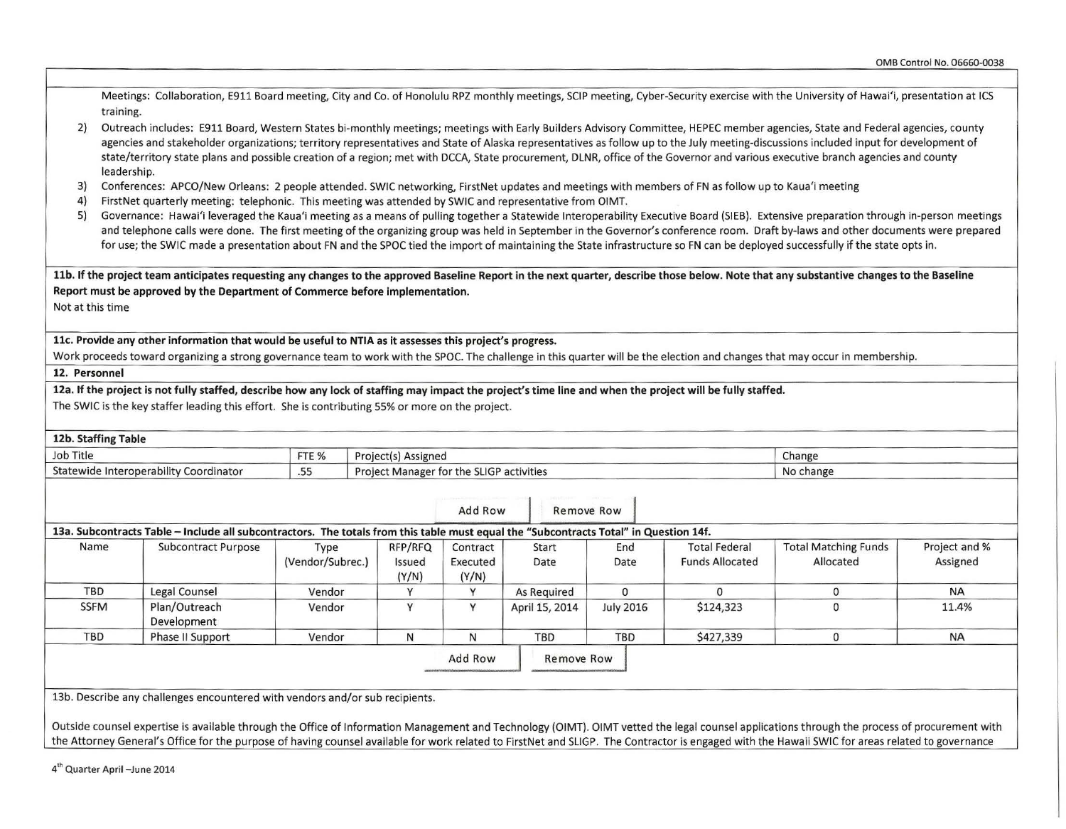Meetings: Collaboration, E911 Board meeting, City and Co. of Honolulu RPZ monthly meetings, SCIP meeting, Cyber-Security exercise with the University of Hawai'i, presentation at ICS training.

- 2) Outreach includes: E911 Board, Western States bi-monthly meetings; meetings with Early Builders Advisory Committee, HEPEC member agencies, State and Federal agencies, county agencies and stakeholder organizations; territory representatives and State of Alaska representatives as follow up to the July meeting-discussions included input for development of state/territory state plans and possible creation of a region; met with DCCA, State procurement, DLNR, office of the Governor and various executive branch agencies and county leadership.
- 3) Conferences: APCO/New Orleans: 2 people attended. SWIC networking, FirstNet updates and meetings with members of FN as follow up to Kaua'i meeting
- 4) FirstNet quarterly meeting: telephonic. This meeting was attended by SWIC and representative from OIMT.
- 5) Governance: Hawai'i leveraged the Kaua'i meeting as a means of pulling together a Statewide Interoperability Executive Board (SIEB). Extensive preparation through in-person meetings and telephone calls were done. The first meeting of the organizing group was held in September in the Governor's conference room. Draft by-laws and other documents were prepared for use; the SWIC made a presentation about FN and the SPOC tied the import of maintaining the State infrastructure so FN can be deployed successfully if the state opts in.

llb. If the project team anticipates requesting any changes to the approved Baseline Report in the next quarter, describe those below. Note that any substantive changes to the Baseline Report must be approved by the Department of Commerce before implementation.

Not at this time

llc. Provide any other information that would be useful to NTIA as it assesses this project's progress.

Work proceeds toward organizing a strong governance team to work with the SPOC. The challenge in this quarter will be the election and changes that may occur in membership.

12. Personnel

12a. If the project is not fully staffed, describe how any lock of staffing may impact the project's time line and when the project will be fully staffed.

The SWIC is the key staffer leading this effort. She is contributing 55% or more on the project.

|                           | No change                                |                                                |                  |                                          |                               | Job Title<br>FTE %<br>Project(s) Assigned |                          |                                                                                                                                                              |                                        |  |  |
|---------------------------|------------------------------------------|------------------------------------------------|------------------|------------------------------------------|-------------------------------|-------------------------------------------|--------------------------|--------------------------------------------------------------------------------------------------------------------------------------------------------------|----------------------------------------|--|--|
|                           |                                          |                                                |                  | Project Manager for the SLIGP activities |                               |                                           |                          |                                                                                                                                                              | Statewide Interoperability Coordinator |  |  |
|                           |                                          |                                                |                  | Remove Row                               | Add Row                       |                                           |                          |                                                                                                                                                              |                                        |  |  |
| Project and %<br>Assigned | <b>Total Matching Funds</b><br>Allocated | <b>Total Federal</b><br><b>Funds Allocated</b> | End<br>Date      | Start<br>Date                            | Contract<br>Executed<br>(Y/N) | RFP/RFQ<br>Issued<br>(Y/N)                | Type<br>(Vendor/Subrec.) | 13a. Subcontracts Table - Include all subcontractors. The totals from this table must equal the "Subcontracts Total" in Question 14f.<br>Subcontract Purpose | Name                                   |  |  |
| $\mathbf{0}$<br><b>NA</b> |                                          | $\Omega$                                       | $\mathbf{0}$     | As Required                              |                               | v                                         | Vendor                   | Legal Counsel                                                                                                                                                | <b>TBD</b>                             |  |  |
| $\mathbf{0}$<br>11.4%     |                                          | \$124,323                                      | <b>July 2016</b> | April 15, 2014                           | v                             | Y                                         | Vendor                   | Plan/Outreach<br>Development                                                                                                                                 | <b>SSFM</b>                            |  |  |
| $\mathbf{0}$<br><b>NA</b> |                                          | \$427,339                                      | TBD              | TBD                                      | N                             | N                                         | Vendor                   | Phase II Support                                                                                                                                             | <b>TBD</b>                             |  |  |
|                           |                                          |                                                |                  | Remove Row                               | Add Row                       |                                           |                          |                                                                                                                                                              |                                        |  |  |
|                           |                                          |                                                |                  |                                          |                               |                                           |                          |                                                                                                                                                              |                                        |  |  |
|                           |                                          |                                                |                  |                                          |                               |                                           |                          | 13b. Describe any challenges encountered with vendors and/or sub recipients.                                                                                 |                                        |  |  |
|                           |                                          |                                                |                  |                                          |                               |                                           |                          |                                                                                                                                                              |                                        |  |  |

the Attorney General's Office for the purpose of having counsel available for work related to FirstNet and SLIGP. The Contractor is engaged with the Hawaii SWIC for areas related to governance